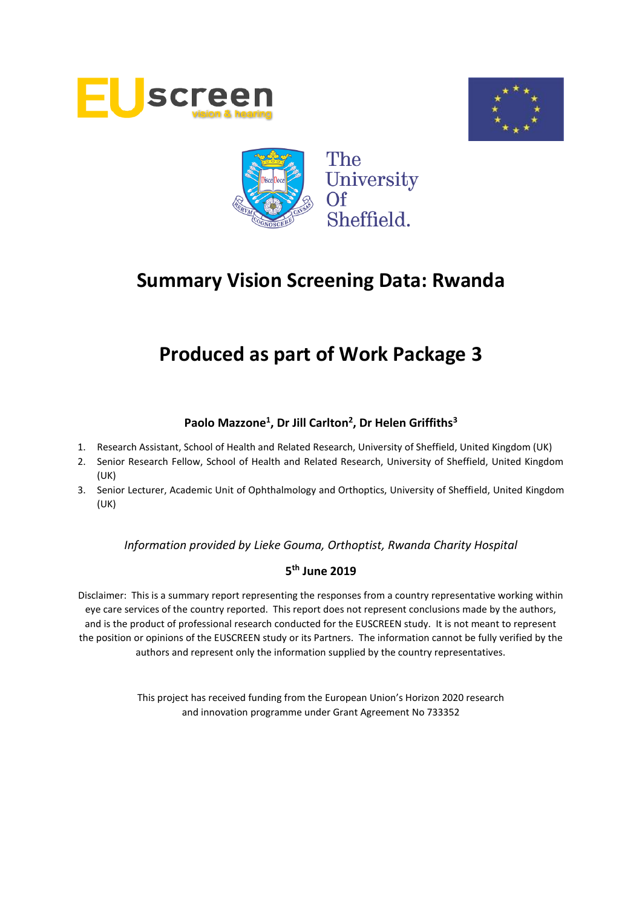





# **Produced as part of Work Package 3**

## **Paolo Mazzone<sup>1</sup> , Dr Jill Carlton<sup>2</sup> , Dr Helen Griffiths<sup>3</sup>**

- 1. Research Assistant, School of Health and Related Research, University of Sheffield, United Kingdom (UK)
- 2. Senior Research Fellow, School of Health and Related Research, University of Sheffield, United Kingdom (UK)
- 3. Senior Lecturer, Academic Unit of Ophthalmology and Orthoptics, University of Sheffield, United Kingdom (UK)

*Information provided by Lieke Gouma, Orthoptist, Rwanda Charity Hospital*

## **5 th June 2019**

Disclaimer: This is a summary report representing the responses from a country representative working within eye care services of the country reported. This report does not represent conclusions made by the authors, and is the product of professional research conducted for the EUSCREEN study. It is not meant to represent the position or opinions of the EUSCREEN study or its Partners. The information cannot be fully verified by the authors and represent only the information supplied by the country representatives.

> This project has received funding from the European Union's Horizon 2020 research and innovation programme under Grant Agreement No 733352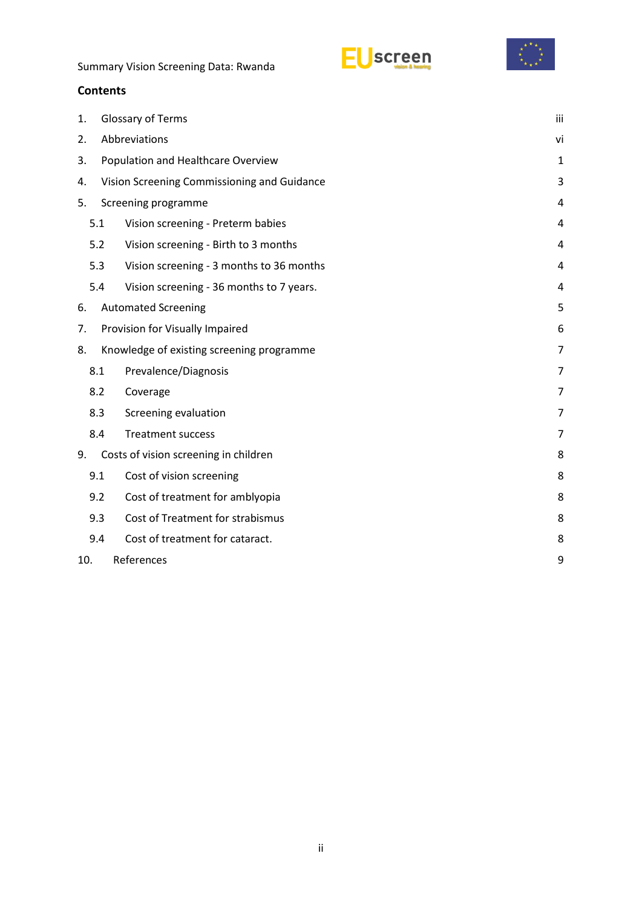



### **Contents**

| 1.                                                |     | Glossary of Terms                         | iii            |  |
|---------------------------------------------------|-----|-------------------------------------------|----------------|--|
| 2.                                                |     | Abbreviations                             | vi             |  |
| 3.                                                |     | Population and Healthcare Overview        | 1              |  |
| Vision Screening Commissioning and Guidance<br>4. |     |                                           |                |  |
| 5.                                                |     | Screening programme                       |                |  |
|                                                   | 5.1 | Vision screening - Preterm babies         | 4              |  |
|                                                   | 5.2 | Vision screening - Birth to 3 months      | 4              |  |
|                                                   | 5.3 | Vision screening - 3 months to 36 months  | 4              |  |
|                                                   | 5.4 | Vision screening - 36 months to 7 years.  | 4              |  |
| 6.                                                |     | <b>Automated Screening</b>                | 5              |  |
| Provision for Visually Impaired<br>7.             |     |                                           |                |  |
| 8.                                                |     | Knowledge of existing screening programme | 7              |  |
|                                                   | 8.1 | Prevalence/Diagnosis                      | $\overline{7}$ |  |
|                                                   | 8.2 | Coverage                                  | 7              |  |
|                                                   | 8.3 | Screening evaluation                      | 7              |  |
|                                                   | 8.4 | <b>Treatment success</b>                  | 7              |  |
| 9.                                                |     | Costs of vision screening in children     | 8              |  |
|                                                   | 9.1 | Cost of vision screening                  | 8              |  |
|                                                   | 9.2 | Cost of treatment for amblyopia           | 8              |  |
|                                                   | 9.3 | Cost of Treatment for strabismus          | 8              |  |
|                                                   | 9.4 | Cost of treatment for cataract.           | 8              |  |
| 10.                                               |     | References                                | 9              |  |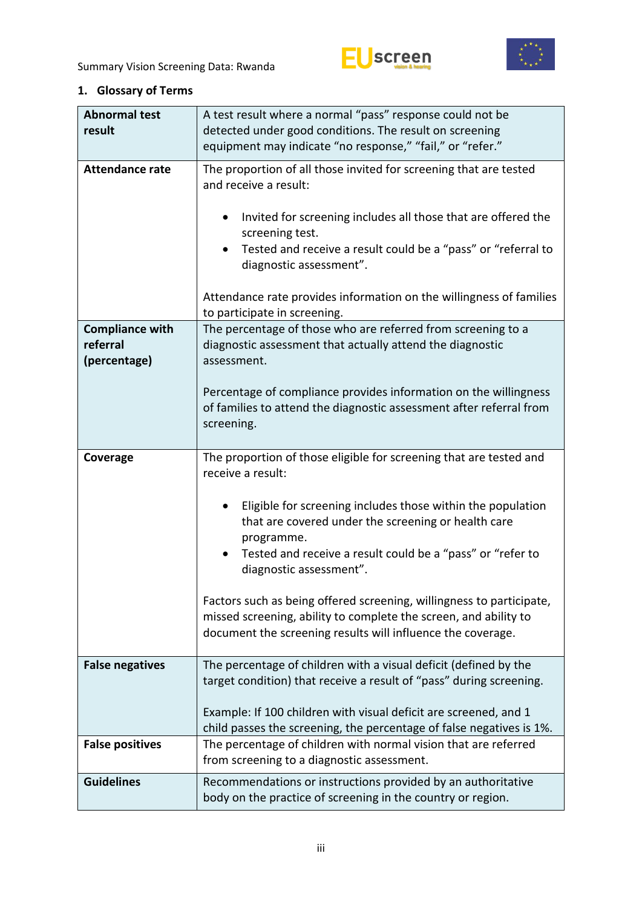



## <span id="page-2-0"></span>**1. Glossary of Terms**

| <b>Abnormal test</b>                               | A test result where a normal "pass" response could not be                                                                                                                                                                                                                                                                                         |
|----------------------------------------------------|---------------------------------------------------------------------------------------------------------------------------------------------------------------------------------------------------------------------------------------------------------------------------------------------------------------------------------------------------|
| result                                             | detected under good conditions. The result on screening                                                                                                                                                                                                                                                                                           |
|                                                    | equipment may indicate "no response," "fail," or "refer."                                                                                                                                                                                                                                                                                         |
| <b>Attendance rate</b>                             | The proportion of all those invited for screening that are tested<br>and receive a result:<br>Invited for screening includes all those that are offered the<br>screening test.<br>Tested and receive a result could be a "pass" or "referral to<br>diagnostic assessment".<br>Attendance rate provides information on the willingness of families |
|                                                    | to participate in screening.                                                                                                                                                                                                                                                                                                                      |
| <b>Compliance with</b><br>referral<br>(percentage) | The percentage of those who are referred from screening to a<br>diagnostic assessment that actually attend the diagnostic<br>assessment.                                                                                                                                                                                                          |
|                                                    | Percentage of compliance provides information on the willingness<br>of families to attend the diagnostic assessment after referral from<br>screening.                                                                                                                                                                                             |
| Coverage                                           | The proportion of those eligible for screening that are tested and<br>receive a result:                                                                                                                                                                                                                                                           |
|                                                    | Eligible for screening includes those within the population<br>that are covered under the screening or health care<br>programme.                                                                                                                                                                                                                  |
|                                                    | Tested and receive a result could be a "pass" or "refer to<br>diagnostic assessment".                                                                                                                                                                                                                                                             |
|                                                    | Factors such as being offered screening, willingness to participate,<br>missed screening, ability to complete the screen, and ability to<br>document the screening results will influence the coverage.                                                                                                                                           |
| <b>False negatives</b>                             | The percentage of children with a visual deficit (defined by the<br>target condition) that receive a result of "pass" during screening.                                                                                                                                                                                                           |
|                                                    | Example: If 100 children with visual deficit are screened, and 1<br>child passes the screening, the percentage of false negatives is 1%.                                                                                                                                                                                                          |
| <b>False positives</b>                             | The percentage of children with normal vision that are referred<br>from screening to a diagnostic assessment.                                                                                                                                                                                                                                     |
| <b>Guidelines</b>                                  | Recommendations or instructions provided by an authoritative<br>body on the practice of screening in the country or region.                                                                                                                                                                                                                       |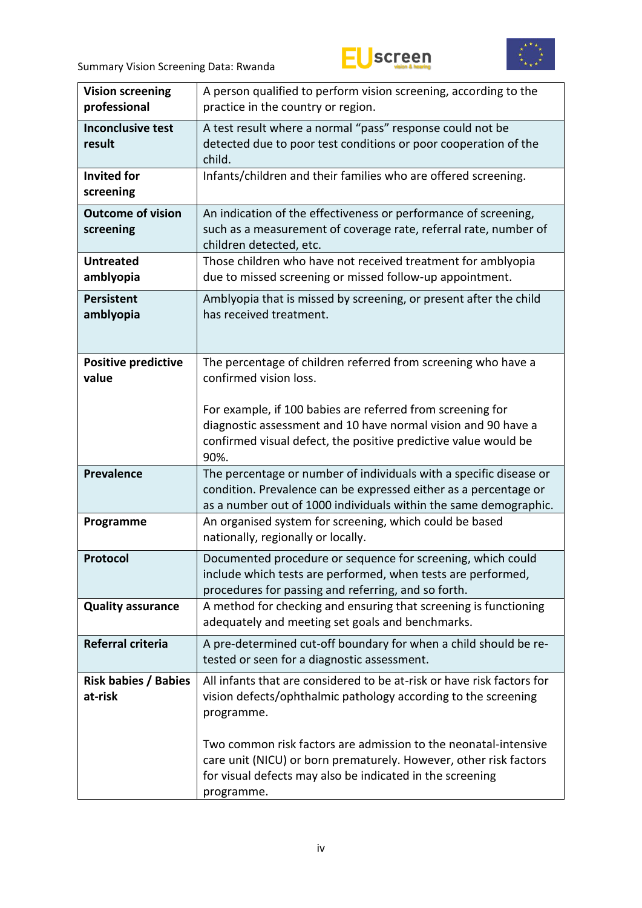



| <b>Vision screening</b><br>professional | A person qualified to perform vision screening, according to the<br>practice in the country or region.                                                                                                          |
|-----------------------------------------|-----------------------------------------------------------------------------------------------------------------------------------------------------------------------------------------------------------------|
| <b>Inconclusive test</b><br>result      | A test result where a normal "pass" response could not be<br>detected due to poor test conditions or poor cooperation of the<br>child.                                                                          |
| <b>Invited for</b><br>screening         | Infants/children and their families who are offered screening.                                                                                                                                                  |
| <b>Outcome of vision</b><br>screening   | An indication of the effectiveness or performance of screening,<br>such as a measurement of coverage rate, referral rate, number of<br>children detected, etc.                                                  |
| <b>Untreated</b><br>amblyopia           | Those children who have not received treatment for amblyopia<br>due to missed screening or missed follow-up appointment.                                                                                        |
| <b>Persistent</b><br>amblyopia          | Amblyopia that is missed by screening, or present after the child<br>has received treatment.                                                                                                                    |
| <b>Positive predictive</b><br>value     | The percentage of children referred from screening who have a<br>confirmed vision loss.                                                                                                                         |
|                                         | For example, if 100 babies are referred from screening for<br>diagnostic assessment and 10 have normal vision and 90 have a<br>confirmed visual defect, the positive predictive value would be<br>90%.          |
| <b>Prevalence</b>                       | The percentage or number of individuals with a specific disease or<br>condition. Prevalence can be expressed either as a percentage or<br>as a number out of 1000 individuals within the same demographic.      |
| Programme                               | An organised system for screening, which could be based<br>nationally, regionally or locally.                                                                                                                   |
| Protocol                                | Documented procedure or sequence for screening, which could<br>include which tests are performed, when tests are performed,<br>procedures for passing and referring, and so forth.                              |
| <b>Quality assurance</b>                | A method for checking and ensuring that screening is functioning<br>adequately and meeting set goals and benchmarks.                                                                                            |
| Referral criteria                       | A pre-determined cut-off boundary for when a child should be re-<br>tested or seen for a diagnostic assessment.                                                                                                 |
| <b>Risk babies / Babies</b><br>at-risk  | All infants that are considered to be at-risk or have risk factors for<br>vision defects/ophthalmic pathology according to the screening<br>programme.                                                          |
|                                         | Two common risk factors are admission to the neonatal-intensive<br>care unit (NICU) or born prematurely. However, other risk factors<br>for visual defects may also be indicated in the screening<br>programme. |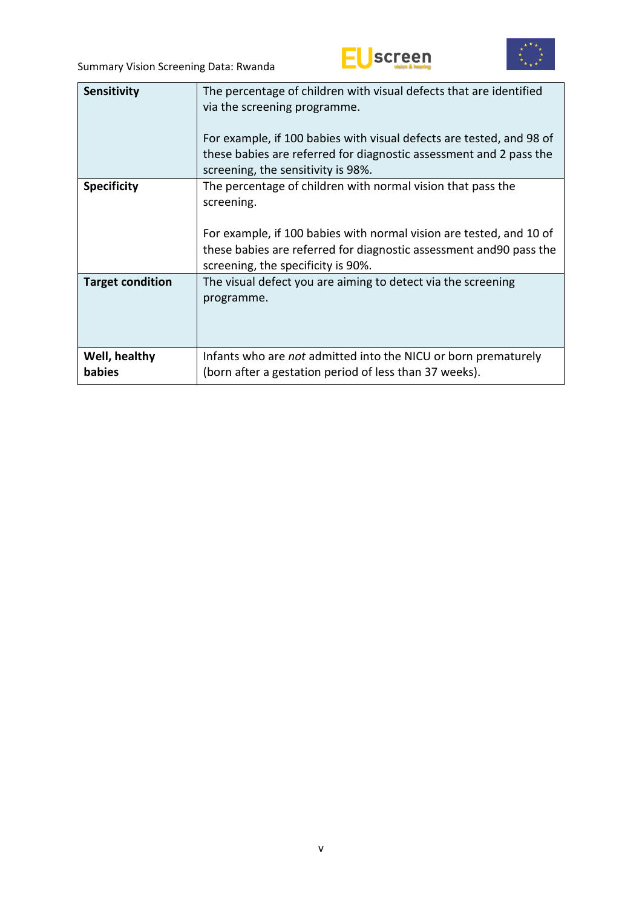



| <b>Sensitivity</b>      | The percentage of children with visual defects that are identified<br>via the screening programme.<br>For example, if 100 babies with visual defects are tested, and 98 of<br>these babies are referred for diagnostic assessment and 2 pass the<br>screening, the sensitivity is 98%. |
|-------------------------|----------------------------------------------------------------------------------------------------------------------------------------------------------------------------------------------------------------------------------------------------------------------------------------|
| <b>Specificity</b>      | The percentage of children with normal vision that pass the<br>screening.<br>For example, if 100 babies with normal vision are tested, and 10 of<br>these babies are referred for diagnostic assessment and 90 pass the<br>screening, the specificity is 90%.                          |
| <b>Target condition</b> | The visual defect you are aiming to detect via the screening<br>programme.                                                                                                                                                                                                             |
| Well, healthy<br>babies | Infants who are not admitted into the NICU or born prematurely<br>(born after a gestation period of less than 37 weeks).                                                                                                                                                               |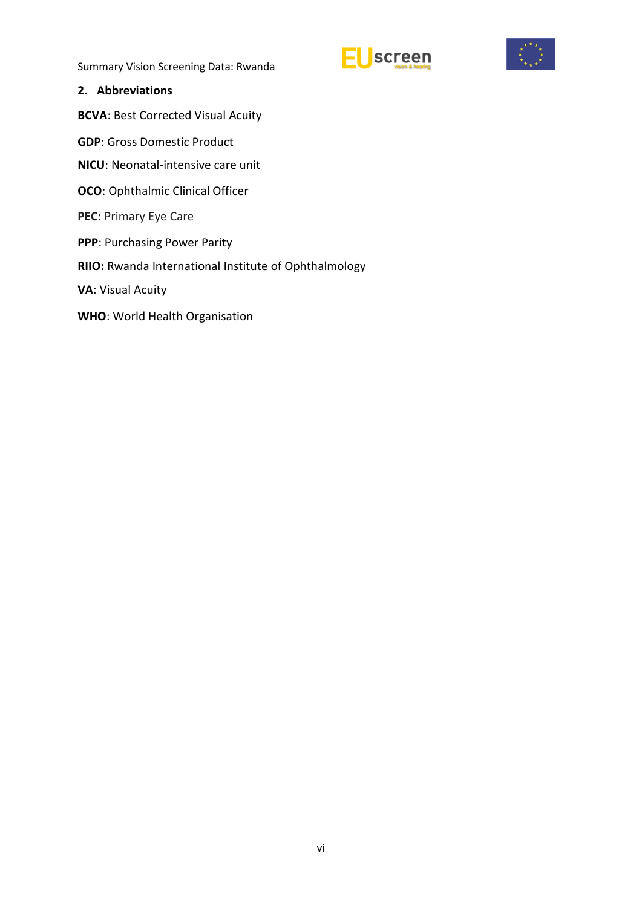



#### <span id="page-5-0"></span>**2. Abbreviations**

**BCVA**: Best Corrected Visual Acuity

- **GDP**: Gross Domestic Product
- **NICU**: Neonatal-intensive care unit
- **OCO**: Ophthalmic Clinical Officer
- **PEC:** Primary Eye Care
- **PPP**: Purchasing Power Parity
- **RIIO:** Rwanda International Institute of Ophthalmology
- **VA**: Visual Acuity
- **WHO**: World Health Organisation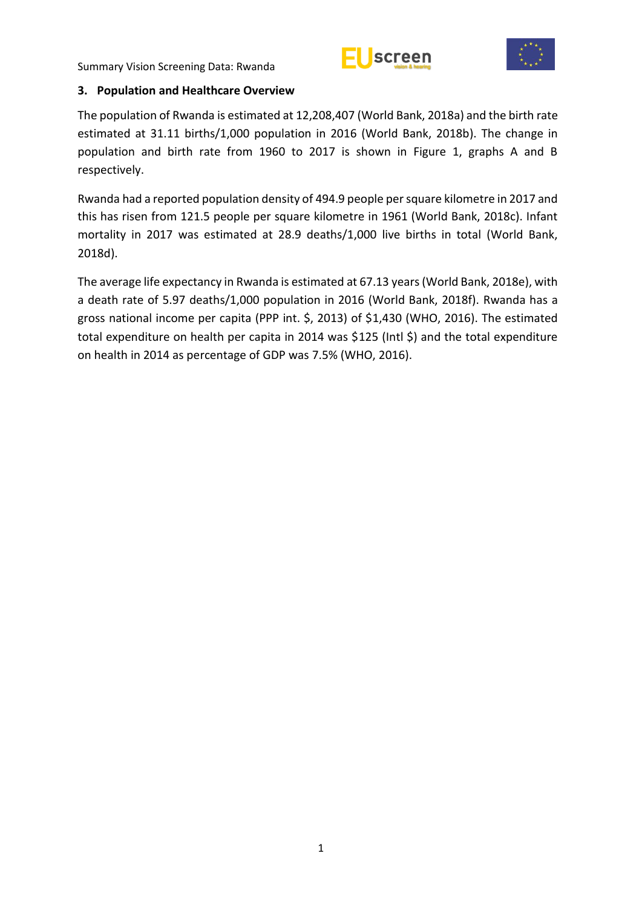



#### <span id="page-6-0"></span>**3. Population and Healthcare Overview**

The population of Rwanda is estimated at 12,208,407 (World Bank, 2018a) and the birth rate estimated at 31.11 births/1,000 population in 2016 (World Bank, 2018b). The change in population and birth rate from 1960 to 2017 is shown in Figure 1, graphs A and B respectively.

Rwanda had a reported population density of 494.9 people per square kilometre in 2017 and this has risen from 121.5 people per square kilometre in 1961 (World Bank, 2018c). Infant mortality in 2017 was estimated at 28.9 deaths/1,000 live births in total (World Bank, 2018d).

The average life expectancy in Rwanda is estimated at 67.13 years(World Bank, 2018e), with a death rate of 5.97 deaths/1,000 population in 2016 (World Bank, 2018f). Rwanda has a gross national income per capita (PPP int. \$, 2013) of \$1,430 (WHO, 2016). The estimated total expenditure on health per capita in 2014 was \$125 (Intl \$) and the total expenditure on health in 2014 as percentage of GDP was 7.5% (WHO, 2016).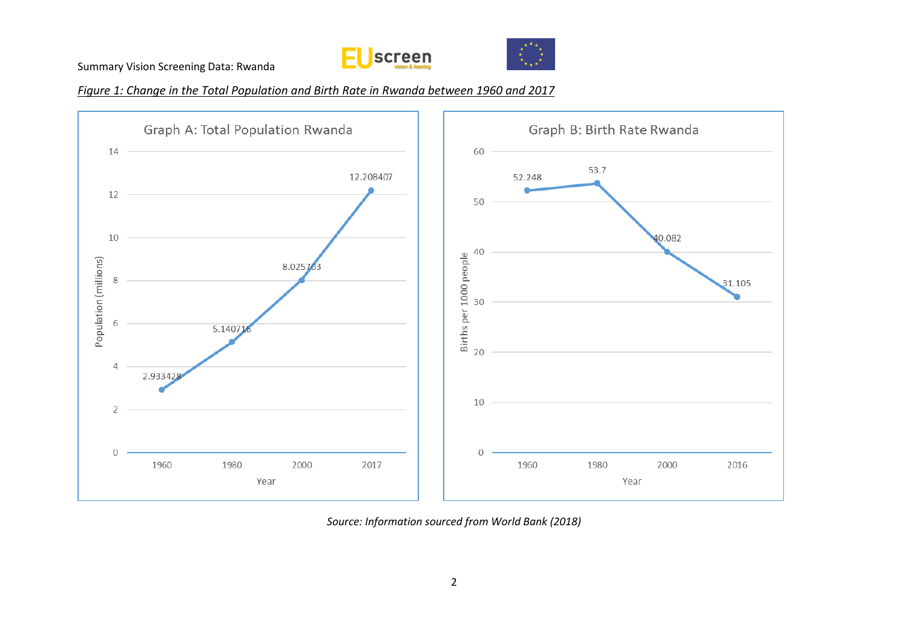



*Figure 1: Change in the Total Population and Birth Rate in Rwanda between 1960 and 2017*



*Source: Information sourced from World Bank (2018)*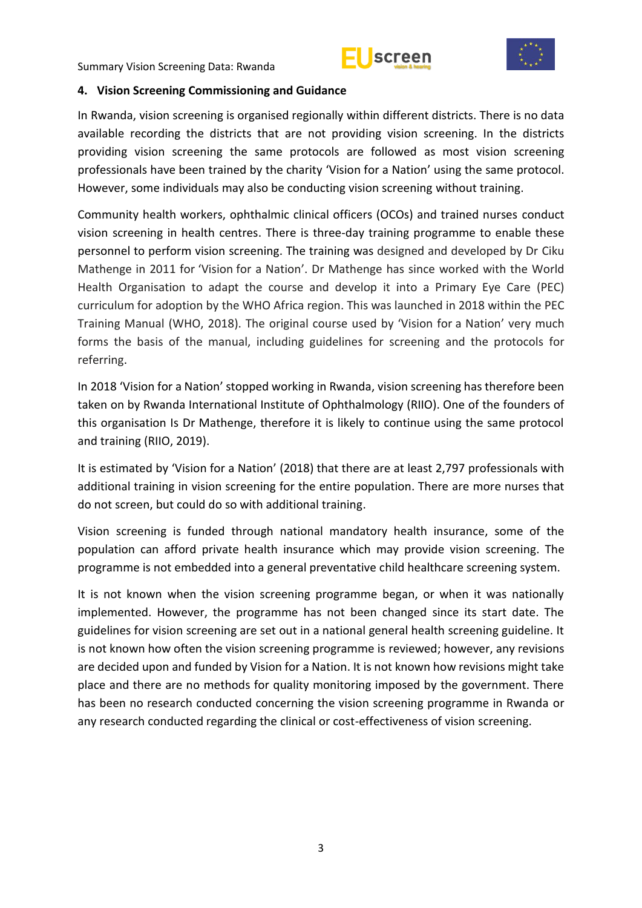



#### <span id="page-8-0"></span>**4. Vision Screening Commissioning and Guidance**

In Rwanda, vision screening is organised regionally within different districts. There is no data available recording the districts that are not providing vision screening. In the districts providing vision screening the same protocols are followed as most vision screening professionals have been trained by the charity 'Vision for a Nation' using the same protocol. However, some individuals may also be conducting vision screening without training.

Community health workers, ophthalmic clinical officers (OCOs) and trained nurses conduct vision screening in health centres. There is three-day training programme to enable these personnel to perform vision screening. The training was designed and developed by Dr Ciku Mathenge in 2011 for 'Vision for a Nation'. Dr Mathenge has since worked with the World Health Organisation to adapt the course and develop it into a Primary Eye Care (PEC) curriculum for adoption by the WHO Africa region. This was launched in 2018 within the PEC Training Manual (WHO, 2018). The original course used by 'Vision for a Nation' very much forms the basis of the manual, including guidelines for screening and the protocols for referring.

In 2018 'Vision for a Nation' stopped working in Rwanda, vision screening has therefore been taken on by Rwanda International Institute of Ophthalmology (RIIO). One of the founders of this organisation Is Dr Mathenge, therefore it is likely to continue using the same protocol and training (RIIO, 2019).

It is estimated by 'Vision for a Nation' (2018) that there are at least 2,797 professionals with additional training in vision screening for the entire population. There are more nurses that do not screen, but could do so with additional training.

Vision screening is funded through national mandatory health insurance, some of the population can afford private health insurance which may provide vision screening. The programme is not embedded into a general preventative child healthcare screening system.

It is not known when the vision screening programme began, or when it was nationally implemented. However, the programme has not been changed since its start date. The guidelines for vision screening are set out in a national general health screening guideline. It is not known how often the vision screening programme is reviewed; however, any revisions are decided upon and funded by Vision for a Nation. It is not known how revisions might take place and there are no methods for quality monitoring imposed by the government. There has been no research conducted concerning the vision screening programme in Rwanda or any research conducted regarding the clinical or cost-effectiveness of vision screening.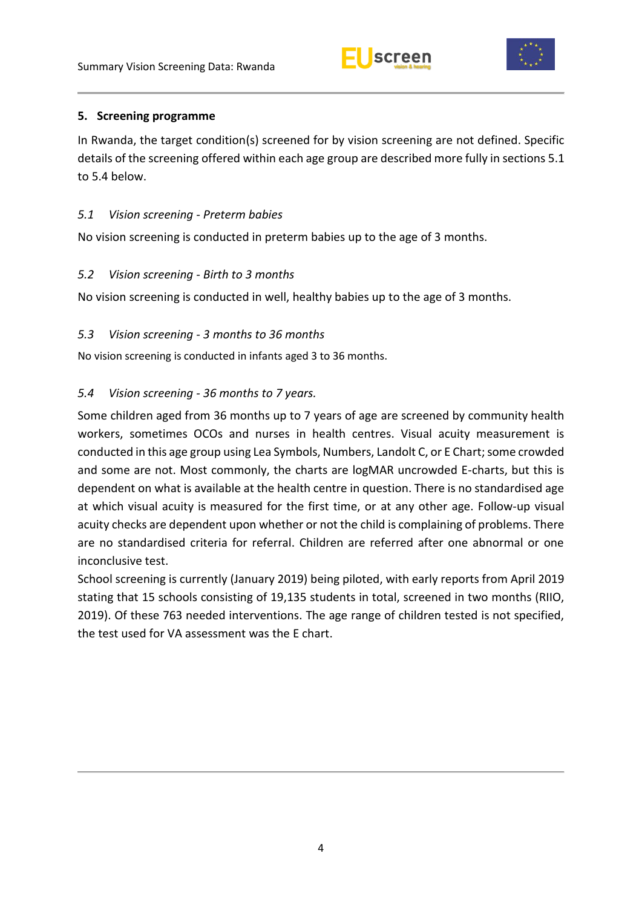



#### <span id="page-9-0"></span>**5. Screening programme**

In Rwanda, the target condition(s) screened for by vision screening are not defined. Specific details of the screening offered within each age group are described more fully in sections 5.1 to 5.4 below.

#### <span id="page-9-1"></span>*5.1 Vision screening - Preterm babies*

No vision screening is conducted in preterm babies up to the age of 3 months.

#### <span id="page-9-2"></span>*5.2 Vision screening - Birth to 3 months*

No vision screening is conducted in well, healthy babies up to the age of 3 months.

#### <span id="page-9-3"></span>*5.3 Vision screening - 3 months to 36 months*

No vision screening is conducted in infants aged 3 to 36 months.

### <span id="page-9-4"></span>*5.4 Vision screening - 36 months to 7 years.*

Some children aged from 36 months up to 7 years of age are screened by community health workers, sometimes OCOs and nurses in health centres. Visual acuity measurement is conducted in this age group using Lea Symbols, Numbers, Landolt C, or E Chart; some crowded and some are not. Most commonly, the charts are logMAR uncrowded E-charts, but this is dependent on what is available at the health centre in question. There is no standardised age at which visual acuity is measured for the first time, or at any other age. Follow-up visual acuity checks are dependent upon whether or not the child is complaining of problems. There are no standardised criteria for referral. Children are referred after one abnormal or one inconclusive test.

School screening is currently (January 2019) being piloted, with early reports from April 2019 stating that 15 schools consisting of 19,135 students in total, screened in two months (RIIO, 2019). Of these 763 needed interventions. The age range of children tested is not specified, the test used for VA assessment was the E chart.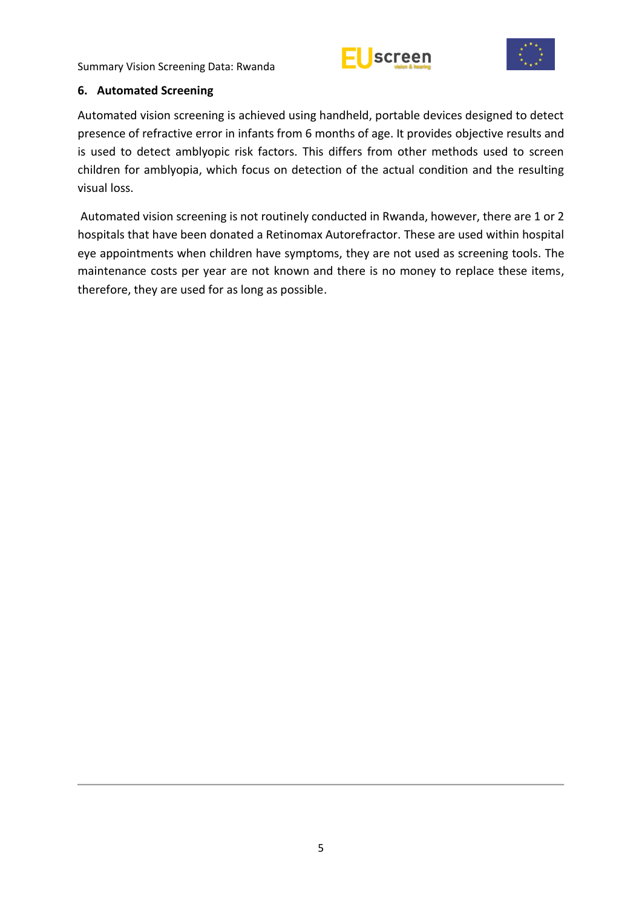



#### <span id="page-10-0"></span>**6. Automated Screening**

Automated vision screening is achieved using handheld, portable devices designed to detect presence of refractive error in infants from 6 months of age. It provides objective results and is used to detect amblyopic risk factors. This differs from other methods used to screen children for amblyopia, which focus on detection of the actual condition and the resulting visual loss.

Automated vision screening is not routinely conducted in Rwanda, however, there are 1 or 2 hospitals that have been donated a Retinomax Autorefractor. These are used within hospital eye appointments when children have symptoms, they are not used as screening tools. The maintenance costs per year are not known and there is no money to replace these items, therefore, they are used for as long as possible.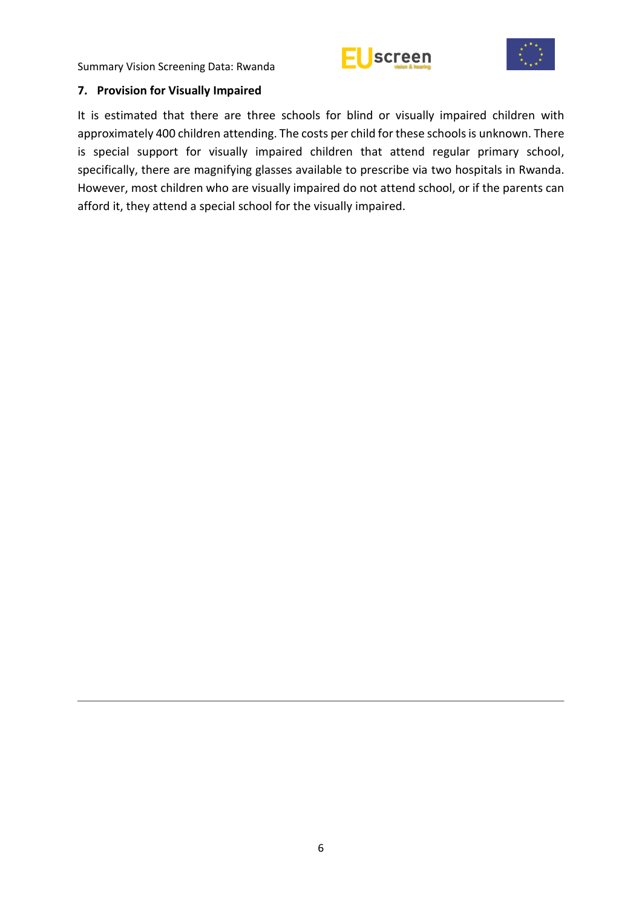



#### <span id="page-11-0"></span>**7. Provision for Visually Impaired**

It is estimated that there are three schools for blind or visually impaired children with approximately 400 children attending. The costs per child for these schools is unknown. There is special support for visually impaired children that attend regular primary school, specifically, there are magnifying glasses available to prescribe via two hospitals in Rwanda. However, most children who are visually impaired do not attend school, or if the parents can afford it, they attend a special school for the visually impaired.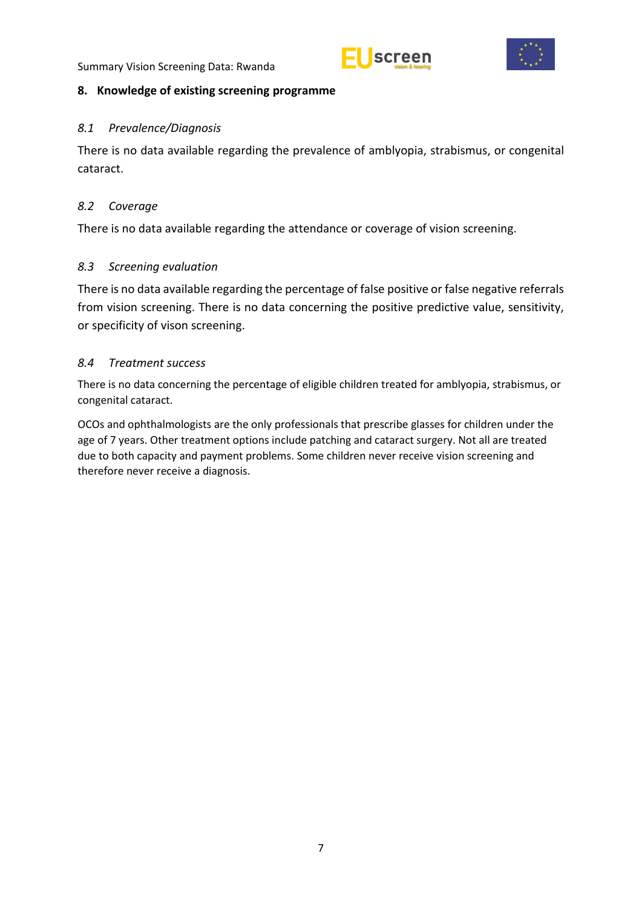



#### <span id="page-12-0"></span>**8. Knowledge of existing screening programme**

#### <span id="page-12-1"></span>*8.1 Prevalence/Diagnosis*

There is no data available regarding the prevalence of amblyopia, strabismus, or congenital cataract.

#### <span id="page-12-2"></span>*8.2 Coverage*

There is no data available regarding the attendance or coverage of vision screening.

#### <span id="page-12-3"></span>*8.3 Screening evaluation*

There is no data available regarding the percentage of false positive or false negative referrals from vision screening. There is no data concerning the positive predictive value, sensitivity, or specificity of vison screening.

#### <span id="page-12-4"></span>*8.4 Treatment success*

There is no data concerning the percentage of eligible children treated for amblyopia, strabismus, or congenital cataract.

OCOs and ophthalmologists are the only professionals that prescribe glasses for children under the age of 7 years. Other treatment options include patching and cataract surgery. Not all are treated due to both capacity and payment problems. Some children never receive vision screening and therefore never receive a diagnosis.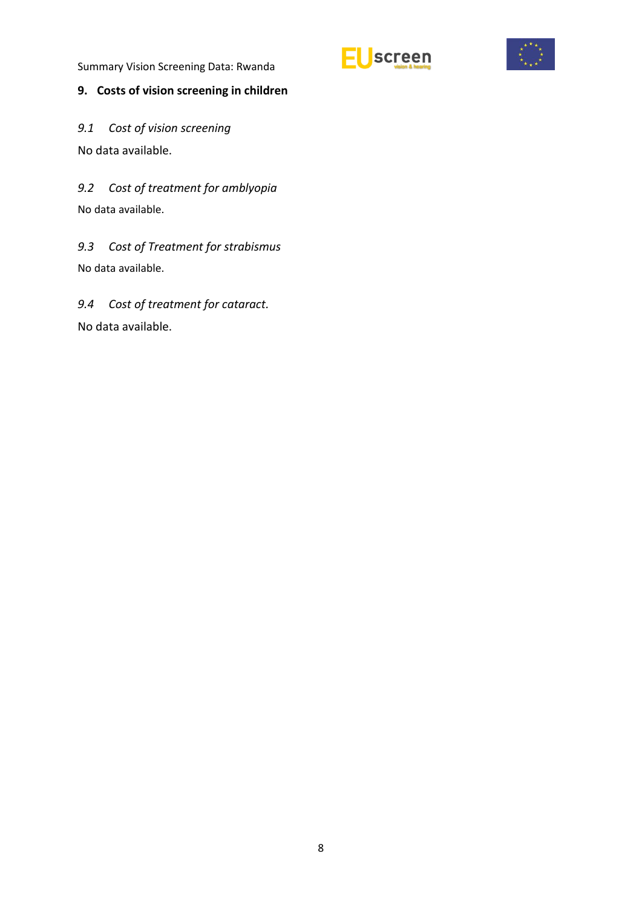## <span id="page-13-0"></span>**9. Costs of vision screening in children**

<span id="page-13-1"></span>*9.1 Cost of vision screening*  No data available.

<span id="page-13-2"></span>*9.2 Cost of treatment for amblyopia* No data available.

<span id="page-13-3"></span>*9.3 Cost of Treatment for strabismus*  No data available.

<span id="page-13-4"></span>*9.4 Cost of treatment for cataract.* No data available.



screen